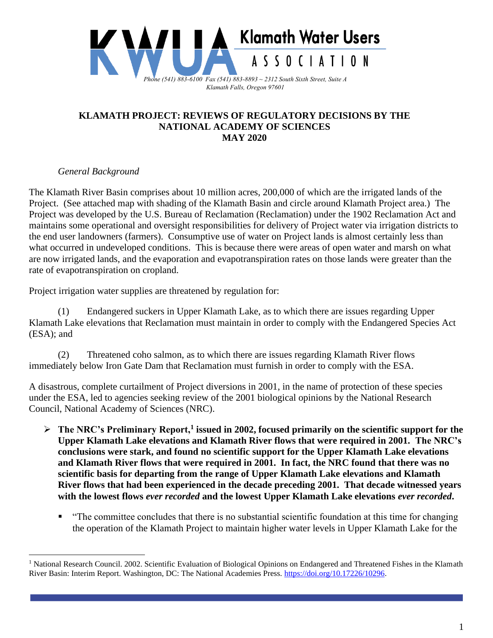

## **KLAMATH PROJECT: REVIEWS OF REGULATORY DECISIONS BY THE NATIONAL ACADEMY OF SCIENCES MAY 2020**

## *General Background*

The Klamath River Basin comprises about 10 million acres, 200,000 of which are the irrigated lands of the Project. (See attached map with shading of the Klamath Basin and circle around Klamath Project area.) The Project was developed by the U.S. Bureau of Reclamation (Reclamation) under the 1902 Reclamation Act and maintains some operational and oversight responsibilities for delivery of Project water via irrigation districts to the end user landowners (farmers). Consumptive use of water on Project lands is almost certainly less than what occurred in undeveloped conditions. This is because there were areas of open water and marsh on what are now irrigated lands, and the evaporation and evapotranspiration rates on those lands were greater than the rate of evapotranspiration on cropland.

Project irrigation water supplies are threatened by regulation for:

(1) Endangered suckers in Upper Klamath Lake, as to which there are issues regarding Upper Klamath Lake elevations that Reclamation must maintain in order to comply with the Endangered Species Act (ESA); and

(2) Threatened coho salmon, as to which there are issues regarding Klamath River flows immediately below Iron Gate Dam that Reclamation must furnish in order to comply with the ESA.

A disastrous, complete curtailment of Project diversions in 2001, in the name of protection of these species under the ESA, led to agencies seeking review of the 2001 biological opinions by the National Research Council, National Academy of Sciences (NRC).

- ➢ **The NRC's Preliminary Report,<sup>1</sup> issued in 2002, focused primarily on the scientific support for the Upper Klamath Lake elevations and Klamath River flows that were required in 2001. The NRC's conclusions were stark, and found no scientific support for the Upper Klamath Lake elevations and Klamath River flows that were required in 2001. In fact, the NRC found that there was no scientific basis for departing from the range of Upper Klamath Lake elevations and Klamath River flows that had been experienced in the decade preceding 2001. That decade witnessed years with the lowest flows** *ever recorded* **and the lowest Upper Klamath Lake elevations** *ever recorded***.**
	- "The committee concludes that there is no substantial scientific foundation at this time for changing the operation of the Klamath Project to maintain higher water levels in Upper Klamath Lake for the

<sup>&</sup>lt;sup>1</sup> National Research Council. 2002. Scientific Evaluation of Biological Opinions on Endangered and Threatened Fishes in the Klamath River Basin: Interim Report. Washington, DC: The National Academies Press. [https://doi.org/10.17226/10296.](https://doi.org/10.17226/10296)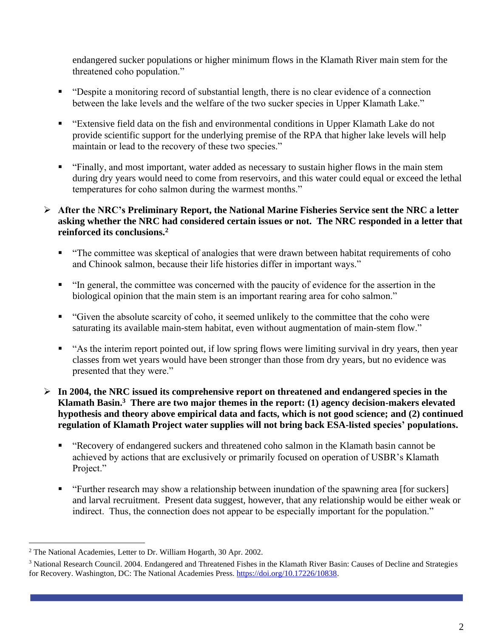endangered sucker populations or higher minimum flows in the Klamath River main stem for the threatened coho population."

- "Despite a monitoring record of substantial length, there is no clear evidence of a connection between the lake levels and the welfare of the two sucker species in Upper Klamath Lake."
- "Extensive field data on the fish and environmental conditions in Upper Klamath Lake do not provide scientific support for the underlying premise of the RPA that higher lake levels will help maintain or lead to the recovery of these two species."
- "Finally, and most important, water added as necessary to sustain higher flows in the main stem during dry years would need to come from reservoirs, and this water could equal or exceed the lethal temperatures for coho salmon during the warmest months."
- ➢ **After the NRC's Preliminary Report, the National Marine Fisheries Service sent the NRC a letter asking whether the NRC had considered certain issues or not. The NRC responded in a letter that reinforced its conclusions.<sup>2</sup>**
	- "The committee was skeptical of analogies that were drawn between habitat requirements of coho and Chinook salmon, because their life histories differ in important ways."
	- "In general, the committee was concerned with the paucity of evidence for the assertion in the biological opinion that the main stem is an important rearing area for coho salmon."
	- "Given the absolute scarcity of coho, it seemed unlikely to the committee that the coho were saturating its available main-stem habitat, even without augmentation of main-stem flow."
	- "As the interim report pointed out, if low spring flows were limiting survival in dry years, then year classes from wet years would have been stronger than those from dry years, but no evidence was presented that they were."
- ➢ **In 2004, the NRC issued its comprehensive report on threatened and endangered species in the Klamath Basin.<sup>3</sup> There are two major themes in the report: (1) agency decision-makers elevated hypothesis and theory above empirical data and facts, which is not good science; and (2) continued regulation of Klamath Project water supplies will not bring back ESA-listed species' populations.**
	- "Recovery of endangered suckers and threatened coho salmon in the Klamath basin cannot be achieved by actions that are exclusively or primarily focused on operation of USBR's Klamath Project."
	- "Further research may show a relationship between inundation of the spawning area [for suckers] and larval recruitment. Present data suggest, however, that any relationship would be either weak or indirect. Thus, the connection does not appear to be especially important for the population."

<sup>2</sup> The National Academies, Letter to Dr. William Hogarth, 30 Apr. 2002.

<sup>3</sup> National Research Council. 2004. Endangered and Threatened Fishes in the Klamath River Basin: Causes of Decline and Strategies for Recovery. Washington, DC: The National Academies Press. [https://doi.org/10.17226/10838.](https://doi.org/10.17226/10838)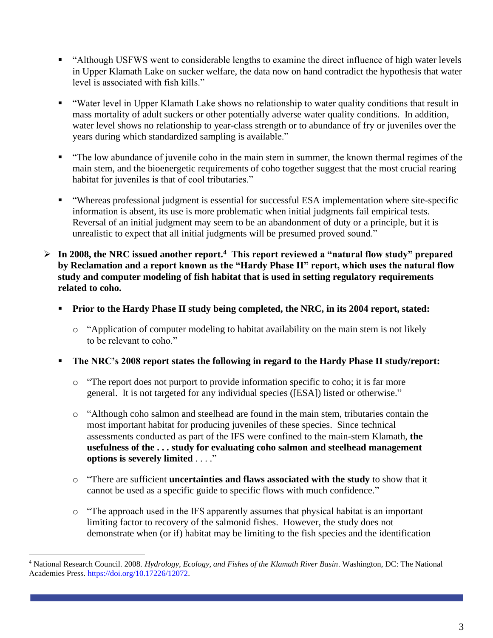- "Although USFWS went to considerable lengths to examine the direct influence of high water levels in Upper Klamath Lake on sucker welfare, the data now on hand contradict the hypothesis that water level is associated with fish kills."
- "Water level in Upper Klamath Lake shows no relationship to water quality conditions that result in mass mortality of adult suckers or other potentially adverse water quality conditions. In addition, water level shows no relationship to year-class strength or to abundance of fry or juveniles over the years during which standardized sampling is available."
- "The low abundance of juvenile coho in the main stem in summer, the known thermal regimes of the main stem, and the bioenergetic requirements of coho together suggest that the most crucial rearing habitat for juveniles is that of cool tributaries."
- "Whereas professional judgment is essential for successful ESA implementation where site-specific information is absent, its use is more problematic when initial judgments fail empirical tests. Reversal of an initial judgment may seem to be an abandonment of duty or a principle, but it is unrealistic to expect that all initial judgments will be presumed proved sound."
- ➢ **In 2008, the NRC issued another report.<sup>4</sup> This report reviewed a "natural flow study" prepared by Reclamation and a report known as the "Hardy Phase II" report, which uses the natural flow study and computer modeling of fish habitat that is used in setting regulatory requirements related to coho.**
	- Prior to the Hardy Phase II study being completed, the NRC, in its 2004 report, stated:
		- o "Application of computer modeling to habitat availability on the main stem is not likely to be relevant to coho."
	- **The NRC's 2008 report states the following in regard to the Hardy Phase II study/report:**
		- o "The report does not purport to provide information specific to coho; it is far more general. It is not targeted for any individual species ([ESA]) listed or otherwise."
		- o "Although coho salmon and steelhead are found in the main stem, tributaries contain the most important habitat for producing juveniles of these species. Since technical assessments conducted as part of the IFS were confined to the main-stem Klamath, **the usefulness of the . . . study for evaluating coho salmon and steelhead management options is severely limited** . . . ."
		- o "There are sufficient **uncertainties and flaws associated with the study** to show that it cannot be used as a specific guide to specific flows with much confidence."
		- o "The approach used in the IFS apparently assumes that physical habitat is an important limiting factor to recovery of the salmonid fishes. However, the study does not demonstrate when (or if) habitat may be limiting to the fish species and the identification

<sup>4</sup> National Research Council. 2008. *Hydrology, Ecology, and Fishes of the Klamath River Basin*. Washington, DC: The National Academies Press. [https://doi.org/10.17226/12072.](https://doi.org/10.17226/12072)